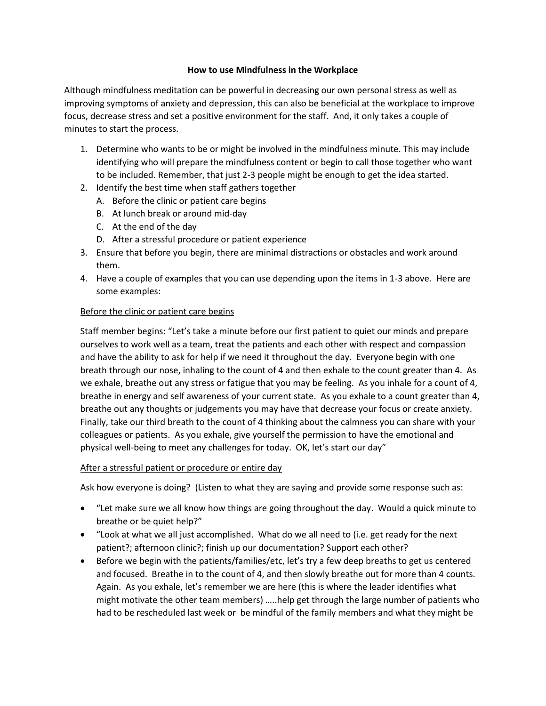## **How to use Mindfulness in the Workplace**

Although mindfulness meditation can be powerful in decreasing our own personal stress as well as improving symptoms of anxiety and depression, this can also be beneficial at the workplace to improve focus, decrease stress and set a positive environment for the staff. And, it only takes a couple of minutes to start the process.

- 1. Determine who wants to be or might be involved in the mindfulness minute. This may include identifying who will prepare the mindfulness content or begin to call those together who want to be included. Remember, that just 2-3 people might be enough to get the idea started.
- 2. Identify the best time when staff gathers together
	- A. Before the clinic or patient care begins
	- B. At lunch break or around mid-day
	- C. At the end of the day
	- D. After a stressful procedure or patient experience
- 3. Ensure that before you begin, there are minimal distractions or obstacles and work around them.
- 4. Have a couple of examples that you can use depending upon the items in 1-3 above. Here are some examples:

## Before the clinic or patient care begins

Staff member begins: "Let's take a minute before our first patient to quiet our minds and prepare ourselves to work well as a team, treat the patients and each other with respect and compassion and have the ability to ask for help if we need it throughout the day. Everyone begin with one breath through our nose, inhaling to the count of 4 and then exhale to the count greater than 4. As we exhale, breathe out any stress or fatigue that you may be feeling. As you inhale for a count of 4, breathe in energy and self awareness of your current state. As you exhale to a count greater than 4, breathe out any thoughts or judgements you may have that decrease your focus or create anxiety. Finally, take our third breath to the count of 4 thinking about the calmness you can share with your colleagues or patients. As you exhale, give yourself the permission to have the emotional and physical well-being to meet any challenges for today. OK, let's start our day"

## After a stressful patient or procedure or entire day

Ask how everyone is doing? (Listen to what they are saying and provide some response such as:

- "Let make sure we all know how things are going throughout the day. Would a quick minute to breathe or be quiet help?"
- "Look at what we all just accomplished. What do we all need to (i.e. get ready for the next patient?; afternoon clinic?; finish up our documentation? Support each other?
- Before we begin with the patients/families/etc, let's try a few deep breaths to get us centered and focused. Breathe in to the count of 4, and then slowly breathe out for more than 4 counts. Again. As you exhale, let's remember we are here (this is where the leader identifies what might motivate the other team members) …..help get through the large number of patients who had to be rescheduled last week or be mindful of the family members and what they might be